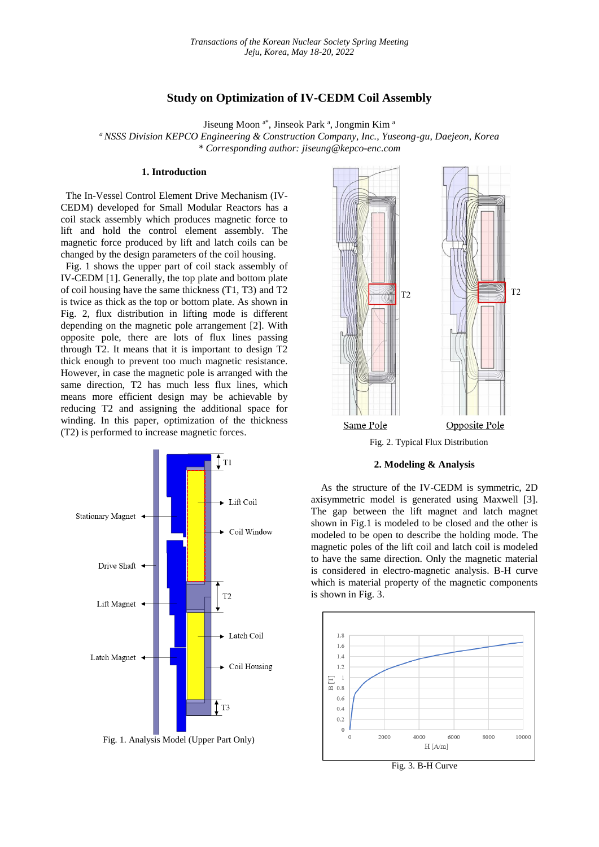# **Study on Optimization of IV-CEDM Coil Assembly**

Jiseung Moon <sup>a\*</sup>, Jinseok Park <sup>a</sup>, Jongmin Kim <sup>a</sup>

*<sup>a</sup> NSSS Division KEPCO Engineering & Construction Company, Inc., Yuseong-gu, Daejeon, Korea \* Corresponding author: jiseung@kepco-enc.com*

## **1. Introduction**

The In-Vessel Control Element Drive Mechanism (IV-CEDM) developed for Small Modular Reactors has a coil stack assembly which produces magnetic force to lift and hold the control element assembly. The magnetic force produced by lift and latch coils can be changed by the design parameters of the coil housing.

Fig. 1 shows the upper part of coil stack assembly of IV-CEDM [1]. Generally, the top plate and bottom plate of coil housing have the same thickness (T1, T3) and T2 is twice as thick as the top or bottom plate. As shown in Fig. 2, flux distribution in lifting mode is different depending on the magnetic pole arrangement [2]. With opposite pole, there are lots of flux lines passing through T2. It means that it is important to design T2 thick enough to prevent too much magnetic resistance. However, in case the magnetic pole is arranged with the same direction, T2 has much less flux lines, which means more efficient design may be achievable by reducing T2 and assigning the additional space for winding. In this paper, optimization of the thickness (T2) is performed to increase magnetic forces.







As the structure of the IV-CEDM is symmetric, 2D axisymmetric model is generated using Maxwell [3]. The gap between the lift magnet and latch magnet shown in Fig.1 is modeled to be closed and the other is modeled to be open to describe the holding mode. The magnetic poles of the lift coil and latch coil is modeled to have the same direction. Only the magnetic material is considered in electro-magnetic analysis. B-H curve which is material property of the magnetic components is shown in Fig. 3.



Fig. 3. B-H Curve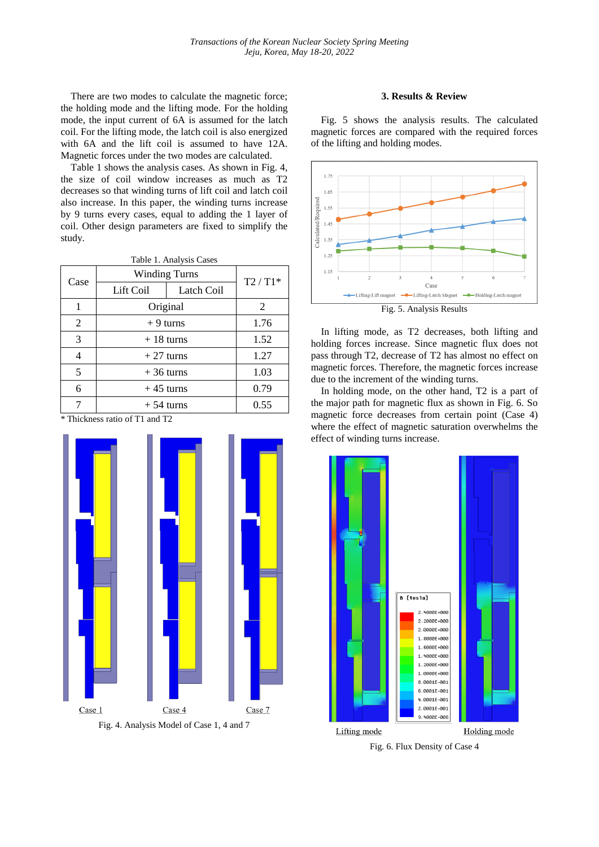There are two modes to calculate the magnetic force; the holding mode and the lifting mode. For the holding mode, the input current of 6A is assumed for the latch coil. For the lifting mode, the latch coil is also energized with 6A and the lift coil is assumed to have 12A. Magnetic forces under the two modes are calculated.

Table 1 shows the analysis cases. As shown in Fig. 4, the size of coil window increases as much as T2 decreases so that winding turns of lift coil and latch coil also increase. In this paper, the winding turns increase by 9 turns every cases, equal to adding the 1 layer of coil. Other design parameters are fixed to simplify the study.

| Table 1. Analysis Cases |                      |            |          |
|-------------------------|----------------------|------------|----------|
| Case                    | <b>Winding Turns</b> |            | $T2/T1*$ |
|                         | Lift Coil            | Latch Coil |          |
| 1                       | Original             |            | 2        |
| 2                       | $+9$ turns           |            | 1.76     |
| 3                       | $+18$ turns          |            | 1.52     |
| 4                       | $+27$ turns          |            | 1.27     |
| 5                       | $+36$ turns          |            | 1.03     |
| 6                       | $+45$ turns          |            | 0.79     |
|                         | $+54$ turns          |            | 0.55     |

\* Thickness ratio of T1 and T2



Fig. 4. Analysis Model of Case 1, 4 and 7

# **3. Results & Review**

Fig. 5 shows the analysis results. The calculated magnetic forces are compared with the required forces of the lifting and holding modes.



In lifting mode, as T2 decreases, both lifting and holding forces increase. Since magnetic flux does not pass through T2, decrease of T2 has almost no effect on magnetic forces. Therefore, the magnetic forces increase due to the increment of the winding turns.

In holding mode, on the other hand, T2 is a part of the major path for magnetic flux as shown in Fig. 6. So magnetic force decreases from certain point (Case 4) where the effect of magnetic saturation overwhelms the effect of winding turns increase.



Fig. 6. Flux Density of Case 4